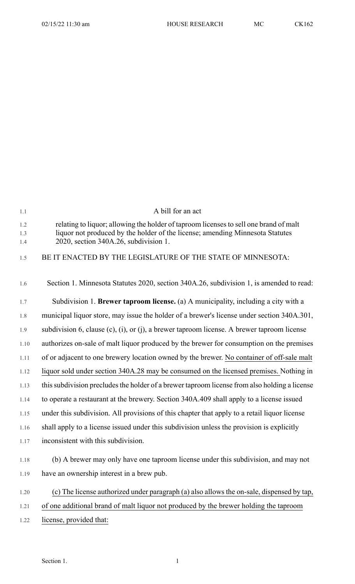| 1.1        | A bill for an act                                                                                                      |
|------------|------------------------------------------------------------------------------------------------------------------------|
| 1.2        | relating to liquor; allowing the holder of taproom licenses to sell one brand of malt                                  |
| 1.3<br>1.4 | liquor not produced by the holder of the license; amending Minnesota Statutes<br>2020, section 340A.26, subdivision 1. |
| 1.5        | BE IT ENACTED BY THE LEGISLATURE OF THE STATE OF MINNESOTA:                                                            |
| 1.6        | Section 1. Minnesota Statutes 2020, section 340A.26, subdivision 1, is amended to read:                                |
| 1.7        | Subdivision 1. <b>Brewer taproom license.</b> (a) A municipality, including a city with a                              |
| 1.8        | municipal liquor store, may issue the holder of a brewer's license under section 340A.301,                             |
| 1.9        | subdivision 6, clause $(c)$ , $(i)$ , or $(j)$ , a brewer taproom license. A brewer taproom license                    |
| 1.10       | authorizes on-sale of malt liquor produced by the brewer for consumption on the premises                               |
| 1.11       | of or adjacent to one brewery location owned by the brewer. No container of off-sale malt                              |
| 1.12       | liquor sold under section 340A.28 may be consumed on the licensed premises. Nothing in                                 |
| 1.13       | this subdivision precludes the holder of a brewer taproom license from also holding a license                          |
| 1.14       | to operate a restaurant at the brewery. Section 340A.409 shall apply to a license issued                               |
| 1.15       | under this subdivision. All provisions of this chapter that apply to a retail liquor license                           |
| 1.16       | shall apply to a license issued under this subdivision unless the provision is explicitly                              |
| 1.17       | inconsistent with this subdivision.                                                                                    |
| 1.18       | (b) A brewer may only have one taproom license under this subdivision, and may not                                     |
| 1.19       | have an ownership interest in a brew pub.                                                                              |
| 1.20       | (c) The license authorized under paragraph (a) also allows the on-sale, dispensed by tap,                              |
| 1.21       | of one additional brand of malt liquor not produced by the brewer holding the taproom                                  |
| 1.22       | license, provided that:                                                                                                |